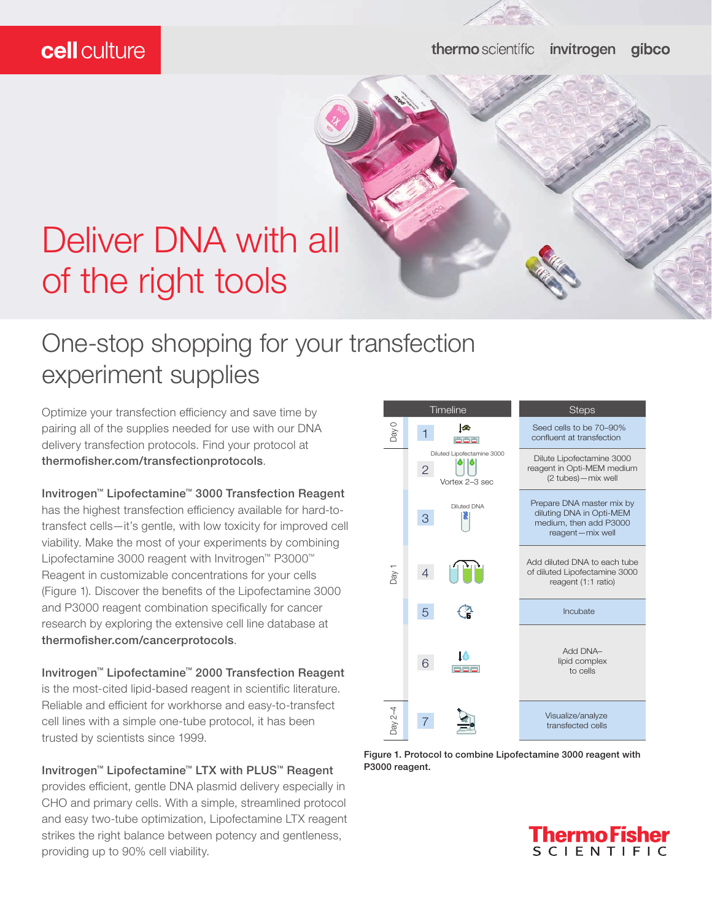### cell culture

# Deliver DNA with all of the right tools

## One-stop shopping for your transfection experiment supplies

Optimize your transfection efficiency and save time by pairing all of the supplies needed for use with our DNA delivery transfection protocols. Find your protocol at thermofisher.com/transfectionprotocols.

Invitrogen™ Lipofectamine™ 3000 Transfection Reagent

has the highest transfection efficiency available for hard-totransfect cells—it's gentle, with low toxicity for improved cell viability. Make the most of your experiments by combining Lipofectamine 3000 reagent with Invitrogen™ P3000™ Reagent in customizable concentrations for your cells (Figure 1). Discover the benefits of the Lipofectamine 3000 and P3000 reagent combination specifically for cancer research by exploring the extensive cell line database at thermofisher.com/cancerprotocols.

Invitrogen™ Lipofectamine™ 2000 Transfection Reagent is the most-cited lipid-based reagent in scientific literature. Reliable and efficient for workhorse and easy-to-transfect cell lines with a simple one-tube protocol, it has been trusted by scientists since 1999.

### Invitrogen™ Lipofectamine™ LTX with PLUS™ Reagent

provides efficient, gentle DNA plasmid delivery especially in CHO and primary cells. With a simple, streamlined protocol and easy two-tube optimization, Lipofectamine LTX reagent strikes the right balance between potency and gentleness, providing up to 90% cell viability.



Figure 1. Protocol to combine Lipofectamine 3000 reagent with P3000 reagent.